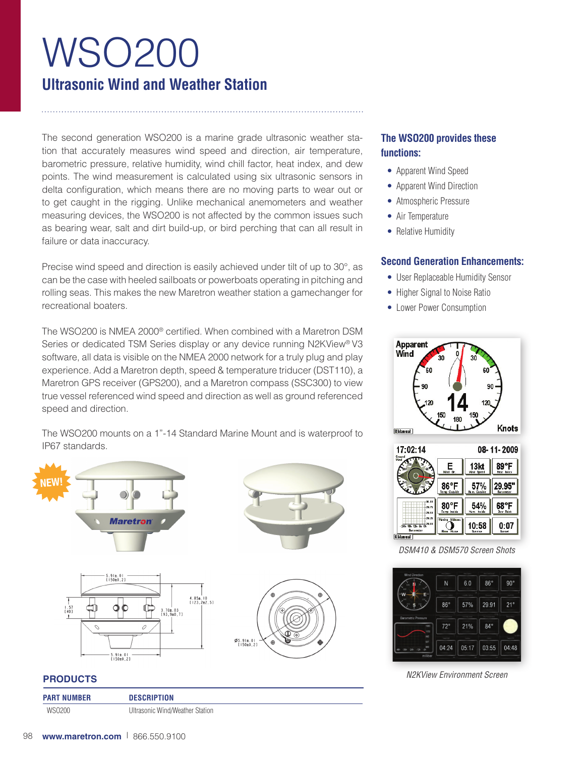# WSO200 **Ultrasonic Wind and Weather Station**

The second generation WSO200 is a marine grade ultrasonic weather station that accurately measures wind speed and direction, air temperature, barometric pressure, relative humidity, wind chill factor, heat index, and dew points. The wind measurement is calculated using six ultrasonic sensors in delta configuration, which means there are no moving parts to wear out or to get caught in the rigging. Unlike mechanical anemometers and weather measuring devices, the WSO200 is not affected by the common issues such as bearing wear, salt and dirt build-up, or bird perching that can all result in failure or data inaccuracy.

Precise wind speed and direction is easily achieved under tilt of up to 30°, as can be the case with heeled sailboats or powerboats operating in pitching and rolling seas. This makes the new Maretron weather station a gamechanger for recreational boaters.

The WSO200 is NMEA 2000® certified. When combined with a Maretron DSM Series or dedicated TSM Series display or any device running N2KView® V3 software, all data is visible on the NMEA 2000 network for a truly plug and play experience. Add a Maretron depth, speed & temperature triducer (DST110), a Maretron GPS receiver (GPS200), and a Maretron compass (SSC300) to view true vessel referenced wind speed and direction as well as ground referenced speed and direction.

The WSO200 mounts on a 1"-14 Standard Marine Mount and is waterproof to IP67 standards.



## **PRODUCTS**

**PART NUMBER DESCRIPTION**

WSO200 Ultrasonic Wind/Weather Station

# **The WSO200 provides these functions:**

- Apparent Wind Speed
- Apparent Wind Direction
- Atmospheric Pressure
- Air Temperature
- Relative Humidity

# **Second Generation Enhancements:**

- User Replaceable Humidity Sensor
- Higher Signal to Noise Ratio
- Lower Power Consumption





*DSM410 & DSM570 Screen Shots*



*N2KView Environment Screen*

#### 98 **www.maretron.com** | 866.550.9100